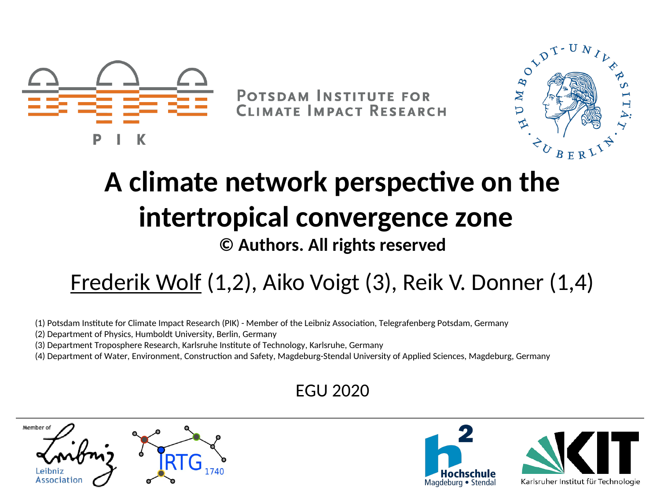

DAR DT-U

# **A climate network perspective on the intertropical convergence zone**

#### **© Authors. All rights reserved**

#### Frederik Wolf (1,2), Aiko Voigt (3), Reik V. Donner (1,4)

- (1) Potsdam Institute for Climate Impact Research (PIK) Member of the Leibniz Association, Telegrafenberg Potsdam, Germany
- (2) Department of Physics, Humboldt University, Berlin, Germany
- (3) Department Troposphere Research, Karlsruhe Institute of Technology, Karlsruhe, Germany
- (4) Department of Water, Environment, Construction and Safety, Magdeburg-Stendal University of Applied Sciences, Magdeburg, Germany

#### EGU 2020

Member of

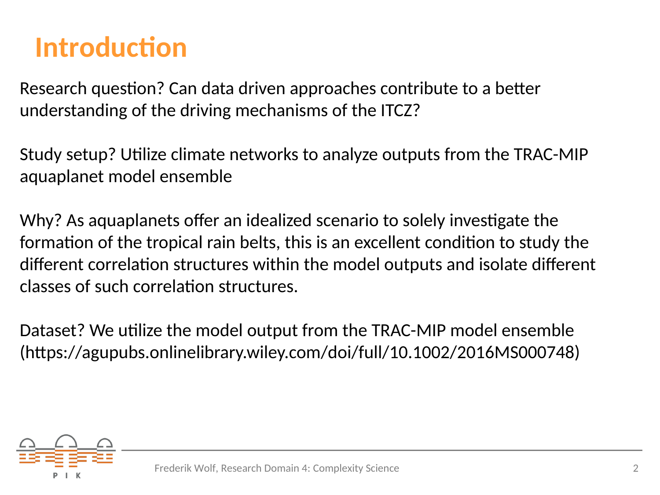### **Introduction**

Research question? Can data driven approaches contribute to a better understanding of the driving mechanisms of the ITCZ?

Study setup? Utilize climate networks to analyze outputs from the TRAC-MIP aquaplanet model ensemble

Why? As aquaplanets offer an idealized scenario to solely investigate the formation of the tropical rain belts, this is an excellent condition to study the different correlation structures within the model outputs and isolate different classes of such correlation structures.

Dataset? We utilize the model output from the TRAC-MIP model ensemble (https://agupubs.onlinelibrary.wiley.com/doi/full/10.1002/2016MS000748)

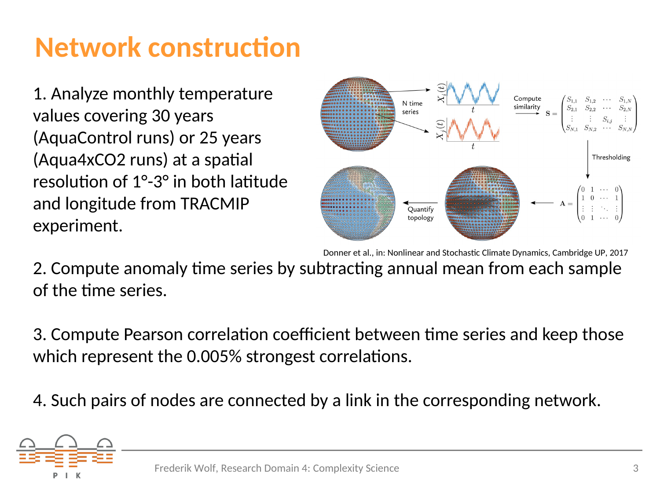## **Network construction**

1. Analyze monthly temperature values covering 30 years (AquaControl runs) or 25 years (Aqua4xCO2 runs) at a spatial resolution of 1°-3° in both latitude and longitude from TRACMIP experiment.



Donner et al., in: Nonlinear and Stochastic Climate Dynamics, Cambridge UP, 2017

2. Compute anomaly time series by subtracting annual mean from each sample of the time series.

3. Compute Pearson correlation coefficient between time series and keep those which represent the 0.005% strongest correlations.

4. Such pairs of nodes are connected by a link in the corresponding network.

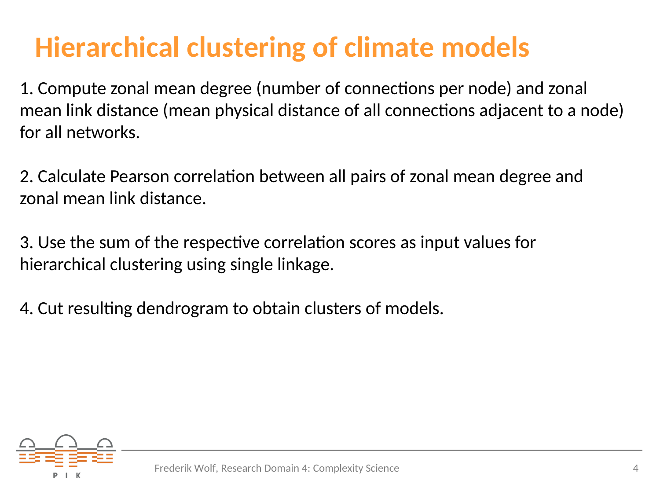## **Hierarchical clustering of climate models**

1. Compute zonal mean degree (number of connections per node) and zonal mean link distance (mean physical distance of all connections adjacent to a node) for all networks.

2. Calculate Pearson correlation between all pairs of zonal mean degree and zonal mean link distance.

3. Use the sum of the respective correlation scores as input values for hierarchical clustering using single linkage.

4. Cut resulting dendrogram to obtain clusters of models.

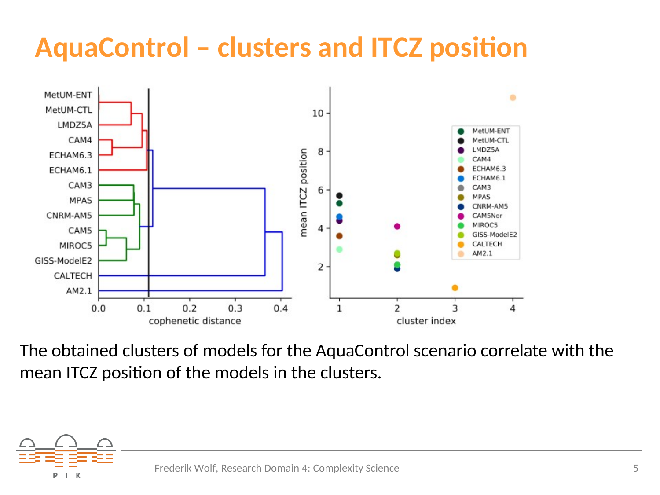## **AquaControl – clusters and ITCZ position**



The obtained clusters of models for the AquaControl scenario correlate with the mean ITCZ position of the models in the clusters.

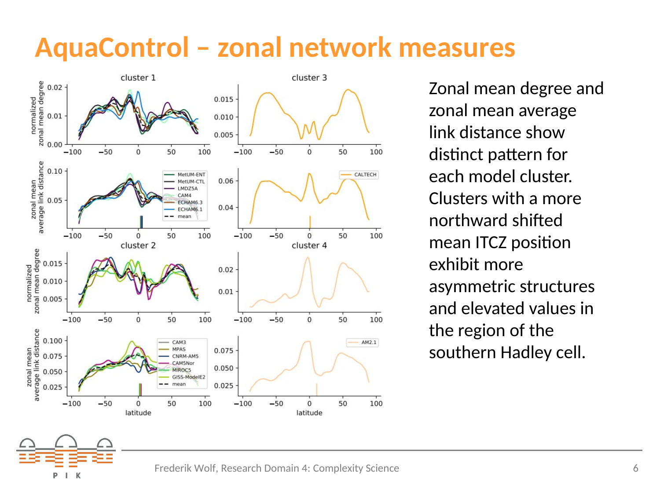#### **AquaControl – zonal network measures**



Zonal mean degree and zonal mean average link distance show distinct pattern for each model cluster. Clusters with a more northward shifted mean ITCZ position exhibit more asymmetric structures and elevated values in the region of the southern Hadley cell.

P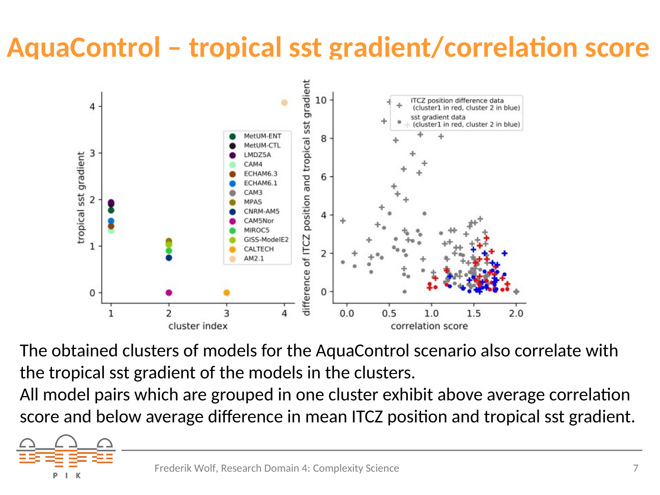## **AquaControl – tropical sst gradient/correlation score**



The obtained clusters of models for the AquaControl scenario also correlate with the tropical sst gradient of the models in the clusters.

All model pairs which are grouped in one cluster exhibit above average correlation score and below average difference in mean ITCZ position and tropical sst gradient.

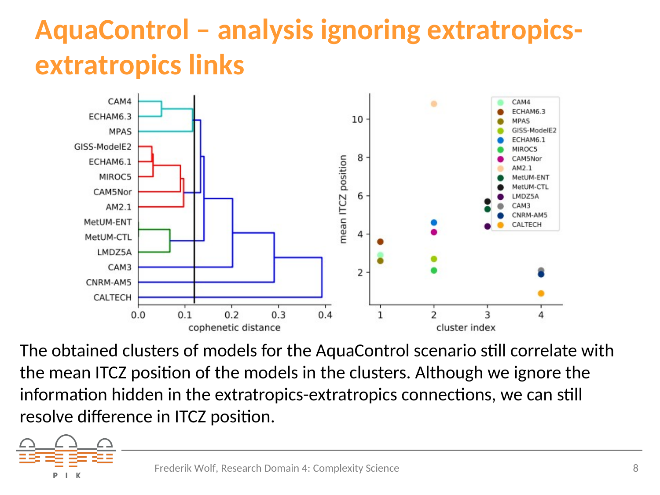## **AquaControl – analysis ignoring extratropicsextratropics links**



The obtained clusters of models for the AquaControl scenario still correlate with the mean ITCZ position of the models in the clusters. Although we ignore the information hidden in the extratropics-extratropics connections, we can still resolve difference in ITCZ position.

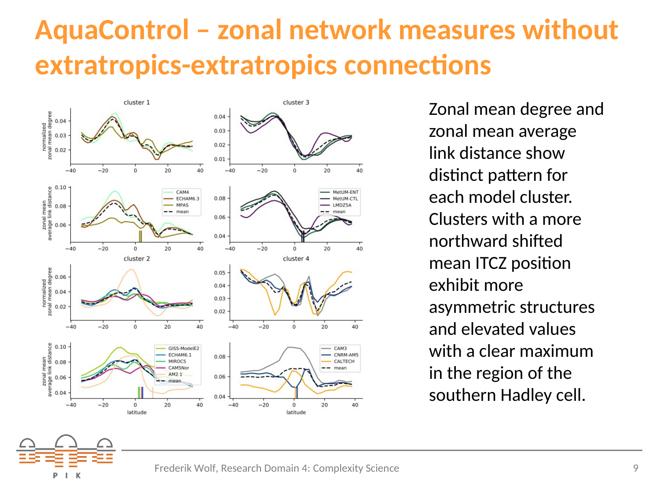### **AquaControl – zonal network measures without extratropics-extratropics connections**



Zonal mean degree and zonal mean average link distance show distinct pattern for each model cluster. Clusters with a more northward shifted mean ITCZ position exhibit more asymmetric structures and elevated values with a clear maximum in the region of the southern Hadley cell.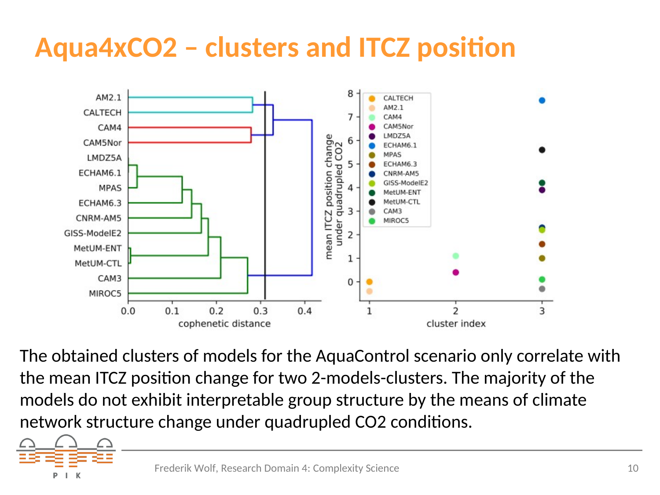## **Aqua4xCO2 – clusters and ITCZ position**



The obtained clusters of models for the AquaControl scenario only correlate with the mean ITCZ position change for two 2-models-clusters. The majority of the models do not exhibit interpretable group structure by the means of climate network structure change under quadrupled CO2 conditions.

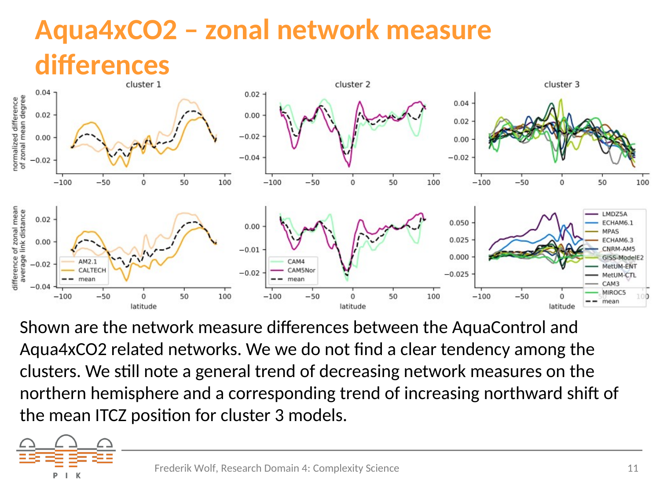# **Aqua4xCO2 – zonal network measure**  differences



Shown are the network measure differences between the AquaControl and Aqua4xCO2 related networks. We we do not find a clear tendency among the clusters. We still note a general trend of decreasing network measures on the northern hemisphere and a corresponding trend of increasing northward shift of the mean ITCZ position for cluster 3 models.